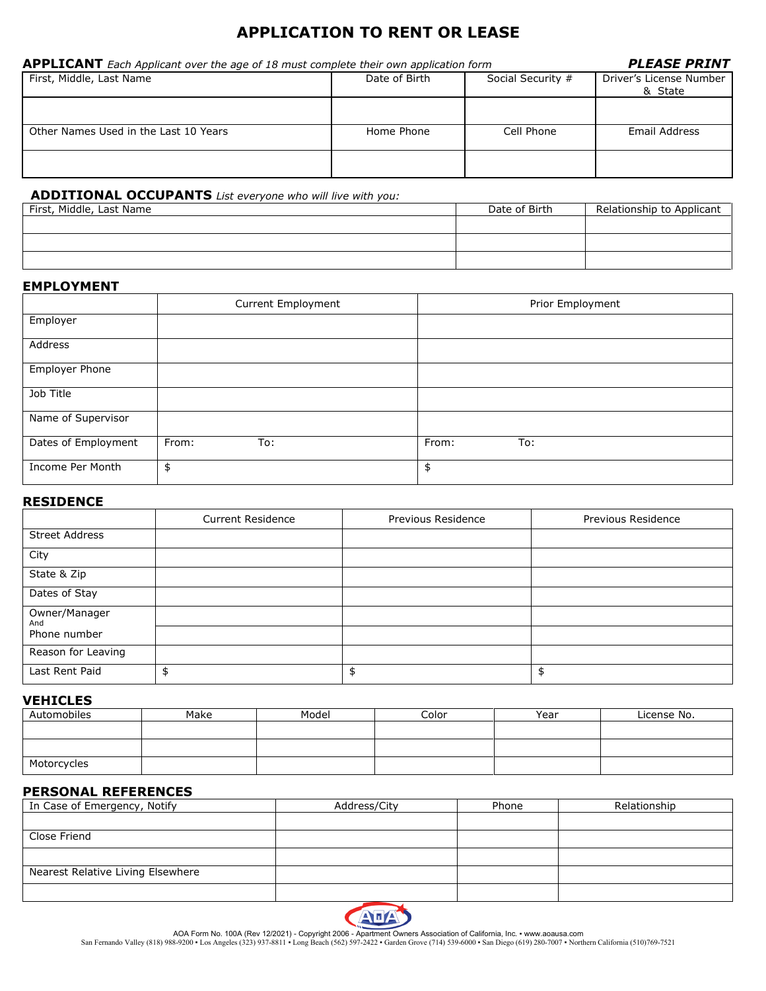# **APPLICATION TO RENT OR LEASE**

| <b>APPLICANT</b> Each Applicant over the age of 18 must complete their own application form | <b>PLEASE PRINT</b> |                   |                                    |
|---------------------------------------------------------------------------------------------|---------------------|-------------------|------------------------------------|
| First, Middle, Last Name                                                                    | Date of Birth       | Social Security # | Driver's License Number<br>& State |
|                                                                                             |                     |                   |                                    |
| Other Names Used in the Last 10 Years                                                       | Home Phone          | Cell Phone        | Email Address                      |
|                                                                                             |                     |                   |                                    |

# **ADDITIONAL OCCUPANTS** *List everyone who will live with you:*

| First, Middle, Last Name | Date of Birth | Relationship to Applicant |
|--------------------------|---------------|---------------------------|
|                          |               |                           |
|                          |               |                           |
|                          |               |                           |
|                          |               |                           |

# **EMPLOYMENT**

|                     | Current Employment | Prior Employment |
|---------------------|--------------------|------------------|
| Employer            |                    |                  |
| Address             |                    |                  |
| Employer Phone      |                    |                  |
| Job Title           |                    |                  |
| Name of Supervisor  |                    |                  |
| Dates of Employment | From:<br>To:       | From:<br>To:     |
| Income Per Month    | \$                 | \$               |

## **RESIDENCE**

|                       | <b>Current Residence</b> | Previous Residence | Previous Residence |
|-----------------------|--------------------------|--------------------|--------------------|
| <b>Street Address</b> |                          |                    |                    |
| City                  |                          |                    |                    |
| State & Zip           |                          |                    |                    |
| Dates of Stay         |                          |                    |                    |
| Owner/Manager<br>And  |                          |                    |                    |
| Phone number          |                          |                    |                    |
| Reason for Leaving    |                          |                    |                    |
| Last Rent Paid        |                          | \$                 |                    |

#### **VEHICLES**

| Automobiles | Make | Model | Color | Year | License No. |
|-------------|------|-------|-------|------|-------------|
|             |      |       |       |      |             |
|             |      |       |       |      |             |
| Motorcycles |      |       |       |      |             |

### **PERSONAL REFERENCES**

| In Case of Emergency, Notify      | Address/City | Phone | Relationship |
|-----------------------------------|--------------|-------|--------------|
|                                   |              |       |              |
| Close Friend                      |              |       |              |
|                                   |              |       |              |
| Nearest Relative Living Elsewhere |              |       |              |
|                                   |              |       |              |



AOA Form No. 100A (Rev 12/2021) - Copyright 2006 - Apartment Owners Association of California, Inc. • www.aoausa.com<br>San Fernando Valley (818) 988-9200 • Los Angeles (323) 937-8811 • Long Beach (562) 597-2422 • Garden Grov